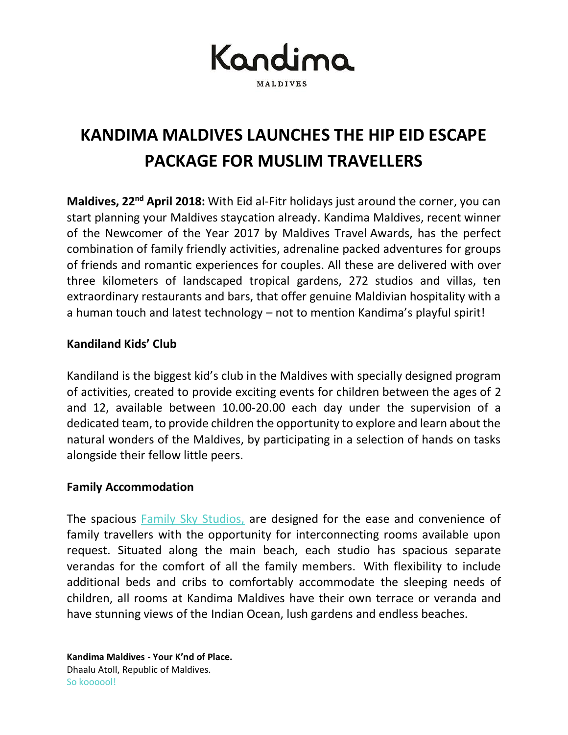Kandima **MALDIVES** 

# **KANDIMA MALDIVES LAUNCHES THE HIP EID ESCAPE PACKAGE FOR MUSLIM TRAVELLERS**

**Maldives, 22<sup>nd</sup> April 2018:** With Eid al-Fitr holidays just around the corner, you can start planning your Maldives staycation already. Kandima Maldives, recent winner of the Newcomer of the Year 2017 by Maldives Travel Awards, has the perfect combination of family friendly activities, adrenaline packed adventures for groups of friends and romantic experiences for couples. All these are delivered with over three kilometers of landscaped tropical gardens, 272 studios and villas, ten extraordinary restaurants and bars, that offer genuine Maldivian hospitality with a a human touch and latest technology – not to mention Kandima's playful spirit!

## **Kandiland Kids' Club**

Kandiland is the biggest kid's club in the Maldives with specially designed program of activities, created to provide exciting events for children between the ages of 2 and 12, available between 10.00-20.00 each day under the supervision of a dedicated team, to provide children the opportunity to explore and learn about the natural wonders of the Maldives, by participating in a selection of hands on tasks alongside their fellow little peers.

## **Family Accommodation**

The spacious Family Sky Studios, are designed for the ease and convenience of family travellers with the opportunity for interconnecting rooms available upon request. Situated along the main beach, each studio has spacious separate verandas for the comfort of all the family members. With flexibility to include additional beds and cribs to comfortably accommodate the sleeping needs of children, all rooms at Kandima Maldives have their own terrace or veranda and have stunning views of the Indian Ocean, lush gardens and endless beaches.

**Kandima Maldives - Your K'nd of Place.** Dhaalu Atoll, Republic of Maldives. So koooool!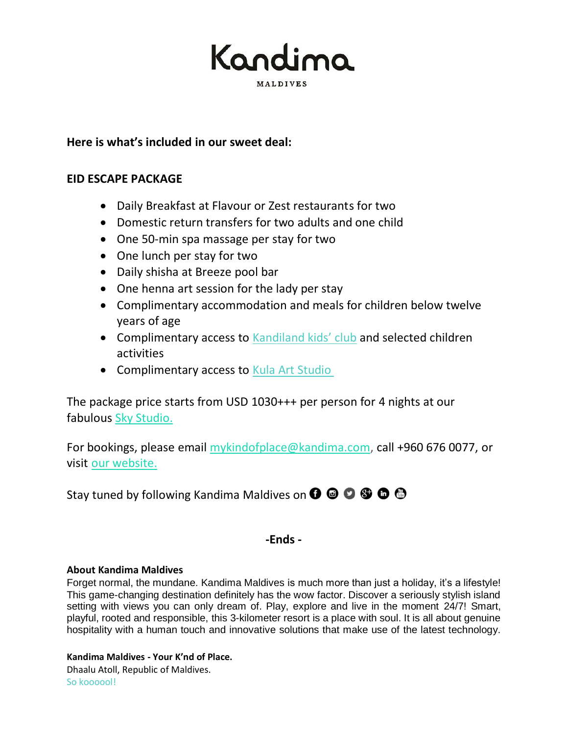Kandima **MALDIVES** 

## **Here is what's included in our sweet deal:**

#### **EID ESCAPE PACKAGE**

- Daily Breakfast at Flavour or Zest restaurants for two
- Domestic return transfers for two adults and one child
- One 50-min spa massage per stay for two
- One lunch per stay for two
- Daily shisha at Breeze pool bar
- One henna art session for the lady per stay
- Complimentary accommodation and meals for children below twelve years of age
- Complimentary access to [Kandiland kids' club](http://kandima.com/index.php/en/facilities-activities) and selected children activities
- Complimentary access to [Kula Art Studio](http://kandima.com/index.php/en/facilities-activities)

The package price starts from USD 1030+++ per person for 4 nights at our fabulous [Sky Studio.](http://kandima.com/index.php/en/studios-villas#studios)

For bookings, please email [mykindofplace@kandima.com,](mailto:mykindofplace@kandima.com) call +960 676 0077, or visit [our website.](http://kandima.com/index.php/en/packages)

Stay tuned by following Kandima Maldives on  $\mathbf{O} \otimes \mathbf{O} \otimes \mathbf{O} \otimes \mathbf{O}$ 

## **-Ends -**

#### **About Kandima Maldives**

Forget normal, the mundane. Kandima Maldives is much more than just a holiday, it's a lifestyle! This game-changing destination definitely has the wow factor. Discover a seriously stylish island setting with views you can only dream of. Play, explore and live in the moment 24/7! Smart, playful, rooted and responsible, this 3-kilometer resort is a place with soul. It is all about genuine hospitality with a human touch and innovative solutions that make use of the latest technology.

#### **Kandima Maldives - Your K'nd of Place.**

Dhaalu Atoll, Republic of Maldives. So koooool!